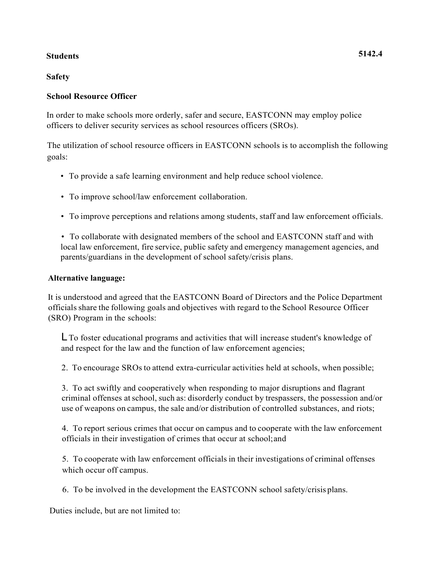# **Students 5142.4**

**Safety**

### **School Resource Officer**

In order to make schools more orderly, safer and secure, EASTCONN may employ police officers to deliver security services as school resources officers (SROs).

The utilization of school resource officers in EASTCONN schools is to accomplish the following goals:

- To provide a safe learning environment and help reduce school violence.
- To improve school/law enforcement collaboration.
- To improve perceptions and relations among students, staff and law enforcement officials.

• To collaborate with designated members of the school and EASTCONN staff and with local law enforcement, fire service, public safety and emergency management agencies, and parents/guardians in the development of school safety/crisis plans.

### **Alternative language:**

It is understood and agreed that the EASTCONN Board of Directors and the Police Department officials share the following goals and objectives with regard to the School Resource Officer (SRO) Program in the schools:

LTo foster educational programs and activities that will increase student's knowledge of and respect for the law and the function of law enforcement agencies;

2. To encourage SROs to attend extra-curricular activities held at schools, when possible;

3. To act swiftly and cooperatively when responding to major disruptions and flagrant criminal offenses atschool, such as: disorderly conduct by trespassers, the possession and/or use of weapons on campus, the sale and/or distribution of controlled substances, and riots;

4. To report serious crimes that occur on campus and to cooperate with the law enforcement officials in their investigation of crimes that occur at school;and

5. To cooperate with law enforcement officials in their investigations of criminal offenses which occur off campus.

6. To be involved in the development the EASTCONN school safety/crisis plans.

Duties include, but are not limited to: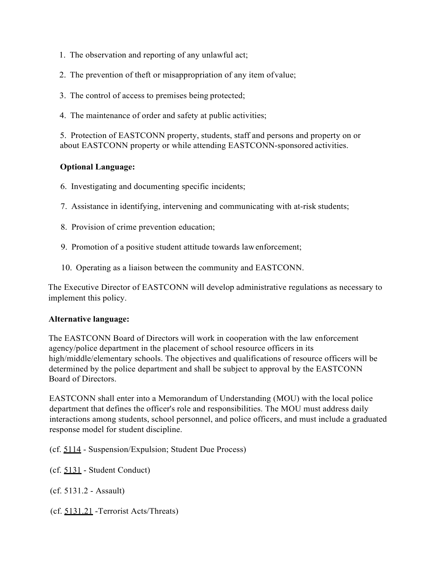- 1. The observation and reporting of any unlawful act;
- 2. The prevention of theft or misappropriation of any item ofvalue;
- 3. The control of access to premises being protected;
- 4. The maintenance of order and safety at public activities;

5. Protection of EASTCONN property, students, staff and persons and property on or about EASTCONN property or while attending EASTCONN-sponsored activities.

### **Optional Language:**

- 6. Investigating and documenting specific incidents;
- 7. Assistance in identifying, intervening and communicating with at-risk students;
- 8. Provision of crime prevention education;
- 9. Promotion of a positive student attitude towards lawenforcement;
- 10. Operating as a liaison between the community and EASTCONN.

The Executive Director of EASTCONN will develop administrative regulations as necessary to implement this policy.

### **Alternative language:**

The EASTCONN Board of Directors will work in cooperation with the law enforcement agency/police department in the placement of school resource officers in its high/middle/elementary schools. The objectives and qualifications of resource officers will be determined by the police department and shall be subject to approval by the EASTCONN Board of Directors.

EASTCONN shall enter into a Memorandum of Understanding (MOU) with the local police department that defines the officer's role and responsibilities. The MOU must address daily interactions among students, school personnel, and police officers, and must include a graduated response model for student discipline.

(cf. 5114 - Suspension/Expulsion; Student Due Process)

(cf. 5131 - Student Conduct)

(cf. 5131.2 - Assault)

(cf. 5131.21 -Terrorist Acts/Threats)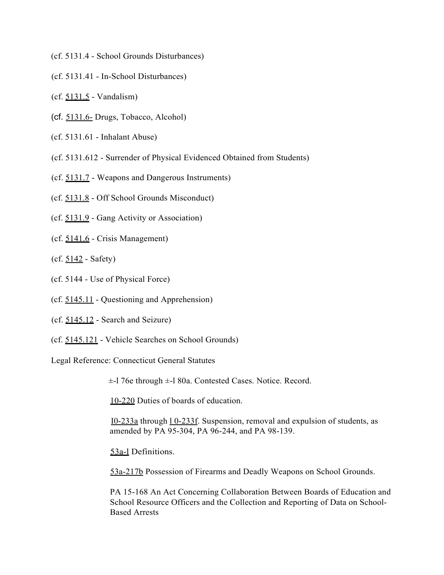- (cf. 5131.4 School Grounds Disturbances)
- (cf. 5131.41 In-School Disturbances)
- (cf. 5131.5 Vandalism)
- (cf. 5131.6- Drugs, Tobacco, Alcohol)
- (cf. 5131.61 Inhalant Abuse)
- (cf. 5131.612 Surrender of Physical Evidenced Obtained from Students)
- (cf. 5131.7 Weapons and Dangerous Instruments)
- (cf. 5131.8 Off School Grounds Misconduct)
- (cf. 5131.9 Gang Activity or Association)
- (cf. 5141.6 Crisis Management)
- $(cf. 5142 Safety)$
- (cf. 5144 Use of Physical Force)
- (cf. 5145.11 Questioning and Apprehension)
- (cf. 5145.12 Search and Seizure)
- (cf. 5145.121 Vehicle Searches on School Grounds)

Legal Reference: Connecticut General Statutes

±-l 76e through ±-l 80a. Contested Cases. Notice. Record.

10-220 Duties of boards of education.

I0-233a through l 0-233f. Suspension, removal and expulsion of students, as amended by PA 95-304, PA 96-244, and PA 98-139.

53a-l Definitions.

53a-217b Possession of Firearms and Deadly Weapons on School Grounds.

PA 15-168 An Act Concerning Collaboration Between Boards of Education and School Resource Officers and the Collection and Reporting of Data on School-Based Arrests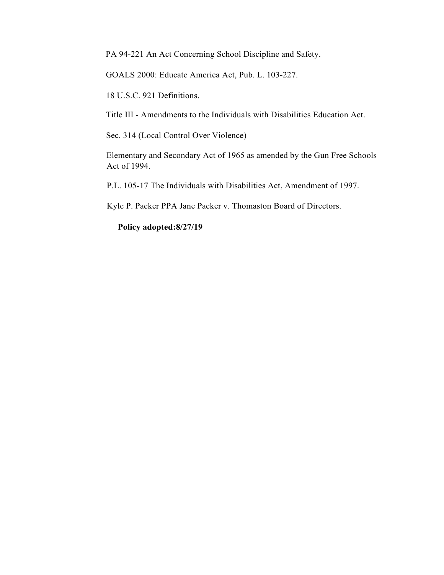PA 94-221 An Act Concerning School Discipline and Safety.

GOALS 2000: Educate America Act, Pub. L. 103-227.

18 U.S.C. 921 Definitions.

Title III - Amendments to the Individuals with Disabilities Education Act.

Sec. 314 (Local Control Over Violence)

Elementary and Secondary Act of 1965 as amended by the Gun Free Schools Act of 1994.

P.L. 105-17 The Individuals with Disabilities Act, Amendment of 1997.

Kyle P. Packer PPA Jane Packer v. Thomaston Board of Directors.

**Policy adopted:8/27/19**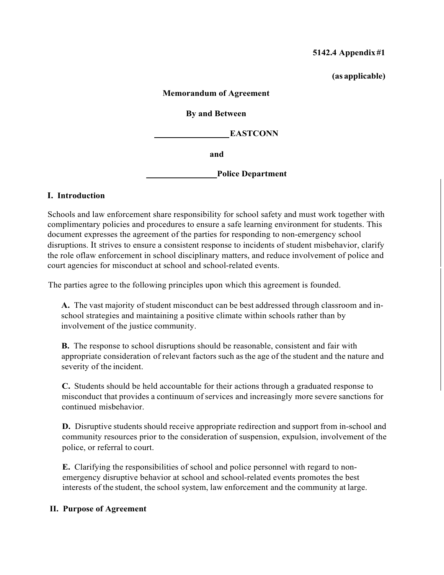### **5142.4 Appendix #1**

**(as applicable)**

### **Memorandum of Agreement**

### **By and Between**

**EASTCONN**

**and**

**Police Department**

# **I. Introduction**

Schools and law enforcement share responsibility for school safety and must work together with complimentary policies and procedures to ensure a safe learning environment for students. This document expresses the agreement of the parties for responding to non-emergency school disruptions. It strives to ensure a consistent response to incidents of student misbehavior, clarify the role oflaw enforcement in school disciplinary matters, and reduce involvement of police and court agencies for misconduct at school and school-related events.

The parties agree to the following principles upon which this agreement is founded.

**A.** The vast majority of student misconduct can be best addressed through classroom and inschool strategies and maintaining a positive climate within schools rather than by involvement of the justice community.

**B.** The response to school disruptions should be reasonable, consistent and fair with appropriate consideration of relevant factors such as the age of the student and the nature and severity of the incident.

**C.** Students should be held accountable for their actions through a graduated response to misconduct that provides a continuum of services and increasingly more severe sanctions for continued misbehavior.

**D.** Disruptive students should receive appropriate redirection and support from in-school and community resources prior to the consideration of suspension, expulsion, involvement of the police, or referral to court.

**E.** Clarifying the responsibilities of school and police personnel with regard to nonemergency disruptive behavior at school and school-related events promotes the best interests of the student, the school system, law enforcement and the community at large.

# **II. Purpose of Agreement**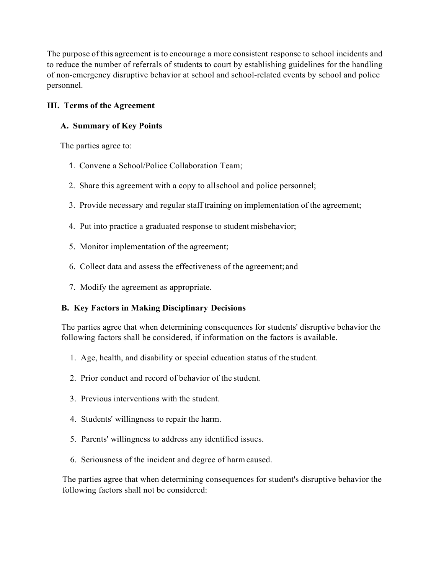The purpose of this agreement is to encourage a more consistent response to school incidents and to reduce the number of referrals of students to court by establishing guidelines for the handling of non-emergency disruptive behavior at school and school-related events by school and police personnel.

# **III. Terms of the Agreement**

# **A. Summary of Key Points**

The parties agree to:

- 1. Convene a School/Police Collaboration Team;
- 2. Share this agreement with a copy to allschool and police personnel;
- 3. Provide necessary and regular staff training on implementation of the agreement;
- 4. Put into practice a graduated response to student misbehavior;
- 5. Monitor implementation of the agreement;
- 6. Collect data and assess the effectiveness of the agreement; and
- 7. Modify the agreement as appropriate.

# **B. Key Factors in Making Disciplinary Decisions**

The parties agree that when determining consequences for students' disruptive behavior the following factors shall be considered, if information on the factors is available.

- 1. Age, health, and disability or special education status of the student.
- 2. Prior conduct and record of behavior of the student.
- 3. Previous interventions with the student.
- 4. Students' willingness to repair the harm.
- 5. Parents' willingness to address any identified issues.
- 6. Seriousness of the incident and degree of harm caused.

The parties agree that when determining consequences for student's disruptive behavior the following factors shall not be considered: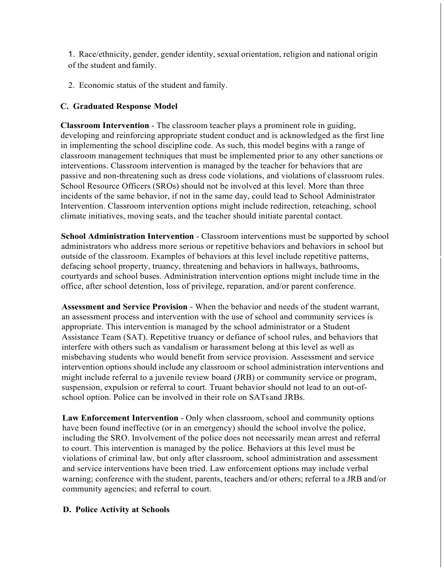1. Race/ethnicity, gender, gender identity, sexual orientation, religion and national origin of the student and family.

2. Economic status of the student and family.

# **C. Graduated Response Model**

**Classroom Intervention** - The classroom teacher plays a prominent role in guiding, developing and reinforcing appropriate student conduct and is acknowledged as the first line in implementing the school discipline code. As such, this model begins with a range of classroom management techniques that must be implemented prior to any other sanctions or interventions. Classroom intervention is managed by the teacher for behaviors that are passive and non-threatening such as dress code violations, and violations of classroom rules. School Resource Officers (SROs) should not be involved at this level. More than three incidents of the same behavior, if not in the same day, could lead to School Administrator Intervention. Classroom intervention options might include redirection, reteaching, school climate initiatives, moving seats, and the teacher should initiate parental contact.

**School Administration Intervention** - Classroom interventions must be supported by school administrators who address more serious or repetitive behaviors and behaviors in school but outside of the classroom. Examples of behaviors at this level include repetitive patterns, defacing school property, truancy, threatening and behaviors in hallways, bathrooms, courtyards and school buses. Administration intervention options might include time in the office, after school detention, loss of privilege, reparation, and/or parent conference.

**Assessment and Service Provision** - When the behavior and needs of the student warrant, an assessment process and intervention with the use of school and community services is appropriate. This intervention is managed by the school administrator or a Student Assistance Team (SAT). Repetitive truancy or defiance of school rules, and behaviors that interfere with others such as vandalism or harassment belong at this level as well as misbehaving students who would benefit from service provision. Assessment and service intervention options should include any classroom orschool administration interventions and might include referral to a juvenile review board (JRB) or community service or program, suspension, expulsion or referral to court. Truant behavior should not lead to an out-ofschool option. Police can be involved in their role on SATsand JRBs.

**Law Enforcement Intervention** - Only when classroom, school and community options have been found ineffective (or in an emergency) should the school involve the police, including the SRO. Involvement of the police does not necessarily mean arrest and referral to court. This intervention is managed by the police. Behaviors at this level must be violations of criminal law, but only after classroom, school administration and assessment and service interventions have been tried. Law enforcement options may include verbal warning; conference with the student, parents, teachers and/or others; referral to a JRB and/or community agencies; and referral to court.

### **D. Police Activity at Schools**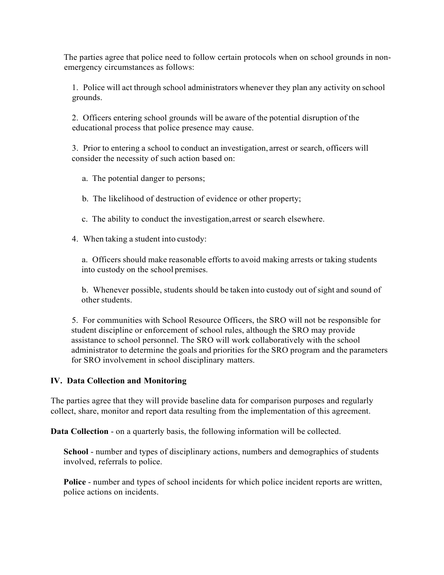The parties agree that police need to follow certain protocols when on school grounds in nonemergency circumstances as follows:

1. Police will act through school administrators whenever they plan any activity on school grounds.

2. Officers entering school grounds will be aware of the potential disruption of the educational process that police presence may cause.

3. Prior to entering a school to conduct an investigation, arrest or search, officers will consider the necessity of such action based on:

a. The potential danger to persons;

b. The likelihood of destruction of evidence or other property;

- c. The ability to conduct the investigation,arrest or search elsewhere.
- 4. When taking a student into custody:

a. Officers should make reasonable efforts to avoid making arrests or taking students into custody on the school premises.

b. Whenever possible, students should be taken into custody out of sight and sound of other students.

5. For communities with School Resource Officers, the SRO will not be responsible for student discipline or enforcement of school rules, although the SRO may provide assistance to school personnel. The SRO will work collaboratively with the school administrator to determine the goals and priorities for the SRO program and the parameters for SRO involvement in school disciplinary matters.

### **IV. Data Collection and Monitoring**

The parties agree that they will provide baseline data for comparison purposes and regularly collect, share, monitor and report data resulting from the implementation of this agreement.

**Data Collection** - on a quarterly basis, the following information will be collected.

**School** - number and types of disciplinary actions, numbers and demographics of students involved, referrals to police.

**Police** - number and types of school incidents for which police incident reports are written, police actions on incidents.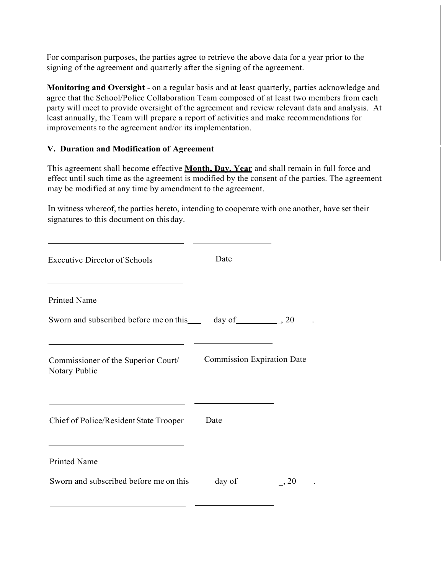For comparison purposes, the parties agree to retrieve the above data for a year prior to the signing of the agreement and quarterly after the signing of the agreement.

**Monitoring and Oversight** - on a regular basis and at least quarterly, parties acknowledge and agree that the School/Police Collaboration Team composed of at least two members from each party will meet to provide oversight of the agreement and review relevant data and analysis. At least annually, the Team will prepare a report of activities and make recommendations for improvements to the agreement and/or its implementation.

### **V. Duration and Modification of Agreement**

This agreement shall become effective **Month, Day, Year** and shall remain in full force and effect until such time as the agreement is modified by the consent of the parties. The agreement may be modified at any time by amendment to the agreement.

In witness whereof, the parties hereto, intending to cooperate with one another, have set their signatures to this document on thisday.

| <b>Executive Director of Schools</b>                                                              | Date                              |  |
|---------------------------------------------------------------------------------------------------|-----------------------------------|--|
| the control of the control of the control of the control of the control of<br><b>Printed Name</b> |                                   |  |
| Sworn and subscribed before me on this _____ day of _____________, 20                             |                                   |  |
| Commissioner of the Superior Court/<br>Notary Public                                              | <b>Commission Expiration Date</b> |  |
| Chief of Police/Resident State Trooper<br><u> 1980 - Johann Stoff, fransk politik (d. 1980)</u>   | Date                              |  |
| <b>Printed Name</b>                                                                               |                                   |  |
| Sworn and subscribed before me on this                                                            | day of $\qquad \qquad .20$        |  |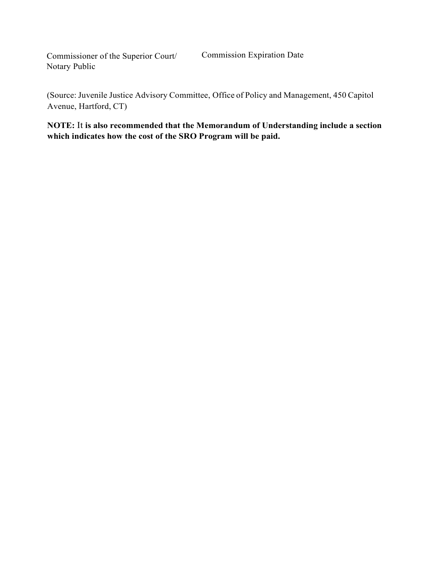Commissioner of the Superior Court/ Notary Public

(Source: Juvenile Justice Advisory Committee, Office of Policy and Management, 450 Capitol Avenue, Hartford, CT)

**NOTE:** It **is also recommended that the Memorandum of Understanding include a section which indicates how the cost of the SRO Program will be paid.**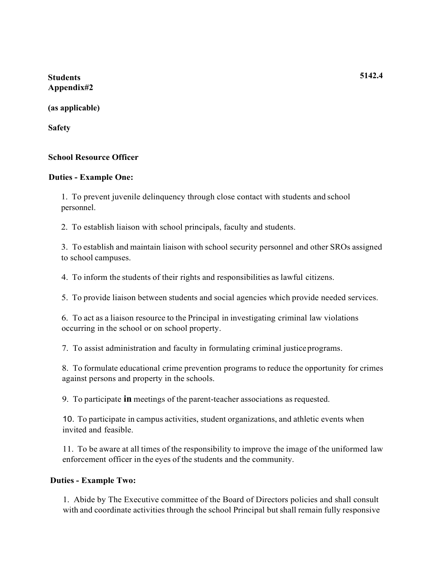**Students Appendix#2**

**(as applicable)** 

**Safety**

### **School Resource Officer**

### **Duties - Example One:**

1. To prevent juvenile delinquency through close contact with students and school personnel.

2. To establish liaison with school principals, faculty and students.

3. To establish and maintain liaison with school security personnel and other SROs assigned to school campuses.

4. To inform the students of their rights and responsibilities as lawful citizens.

5. To provide liaison between students and social agencies which provide needed services.

6. To act as a liaison resource to the Principal in investigating criminal law violations occurring in the school or on school property.

7. To assist administration and faculty in formulating criminal justiceprograms.

8. To formulate educational crime prevention programs to reduce the opportunity for crimes against persons and property in the schools.

9. To participate **in** meetings of the parent-teacher associations as requested.

10. To participate in campus activities, student organizations, and athletic events when invited and feasible.

11. To be aware at all times of the responsibility to improve the image of the uniformed law enforcement officer in the eyes of the students and the community.

### **Duties - Example Two:**

1. Abide by The Executive committee of the Board of Directors policies and shall consult with and coordinate activities through the school Principal but shall remain fully responsive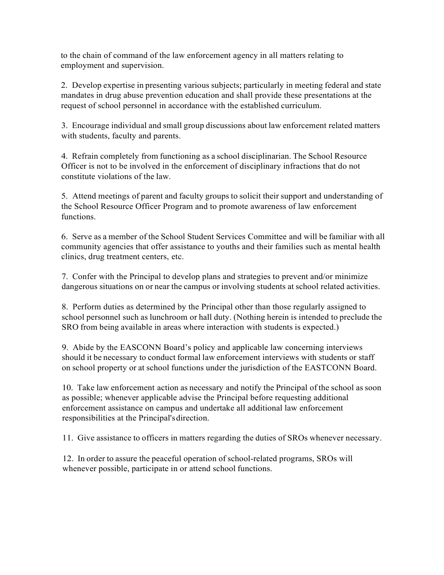to the chain of command of the law enforcement agency in all matters relating to employment and supervision.

2. Develop expertise in presenting various subjects; particularly in meeting federal and state mandates in drug abuse prevention education and shall provide these presentations at the request of school personnel in accordance with the established curriculum.

3. Encourage individual and small group discussions about law enforcement related matters with students, faculty and parents.

4. Refrain completely from functioning as a school disciplinarian. The School Resource Officer is not to be involved in the enforcement of disciplinary infractions that do not constitute violations of the law.

5. Attend meetings of parent and faculty groups to solicit their support and understanding of the School Resource Officer Program and to promote awareness of law enforcement functions.

6. Serve as a member of the School Student Services Committee and will be familiar with all community agencies that offer assistance to youths and their families such as mental health clinics, drug treatment centers, etc.

7. Confer with the Principal to develop plans and strategies to prevent and/or minimize dangerous situations on or near the campus or involving students at school related activities.

8. Perform duties as determined by the Principal other than those regularly assigned to school personnel such as lunchroom or hall duty. (Nothing herein is intended to preclude the SRO from being available in areas where interaction with students is expected.)

9. Abide by the EASCONN Board's policy and applicable law concerning interviews should it be necessary to conduct formal law enforcement interviews with students or staff on school property or at school functions under the jurisdiction of the EASTCONN Board.

10. Take law enforcement action as necessary and notify the Principal of the school assoon as possible; whenever applicable advise the Principal before requesting additional enforcement assistance on campus and undertake all additional law enforcement responsibilities at the Principal'sdirection.

11. Give assistance to officers in matters regarding the duties of SROs whenever necessary.

12. In order to assure the peaceful operation of school-related programs, SROs will whenever possible, participate in or attend school functions.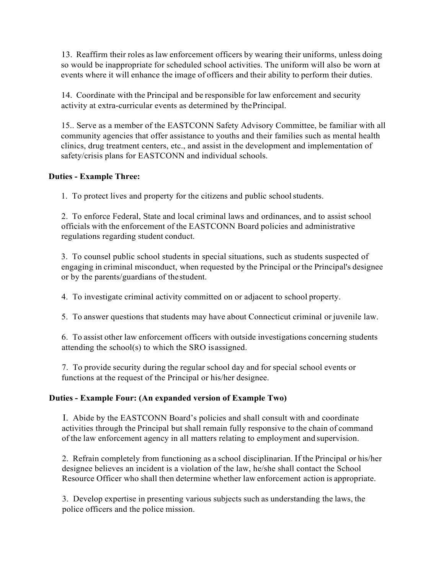13. Reaffirm their roles aslaw enforcement officers by wearing their uniforms, unless doing so would be inappropriate for scheduled school activities. The uniform will also be worn at events where it will enhance the image of officers and their ability to perform their duties.

14. Coordinate with the Principal and be responsible for law enforcement and security activity at extra-curricular events as determined by thePrincipal.

15.. Serve as a member of the EASTCONN Safety Advisory Committee, be familiar with all community agencies that offer assistance to youths and their families such as mental health clinics, drug treatment centers, etc., and assist in the development and implementation of safety/crisis plans for EASTCONN and individual schools.

### **Duties - Example Three:**

1. To protect lives and property for the citizens and public schoolstudents.

2. To enforce Federal, State and local criminal laws and ordinances, and to assist school officials with the enforcement of the EASTCONN Board policies and administrative regulations regarding student conduct.

3. To counsel public school students in special situations, such as students suspected of engaging in criminal misconduct, when requested by the Principal or the Principal's designee or by the parents/guardians of thestudent.

4. To investigate criminal activity committed on or adjacent to school property.

5. To answer questions that students may have about Connecticut criminal or juvenile law.

6. To assist other law enforcement officers with outside investigations concerning students attending the school(s) to which the SRO isassigned.

7. To provide security during the regular school day and for special school events or functions at the request of the Principal or his/her designee.

# **Duties - Example Four: (An expanded version of Example Two)**

I. Abide by the EASTCONN Board's policies and shall consult with and coordinate activities through the Principal but shall remain fully responsive to the chain of command of the law enforcement agency in all matters relating to employment and supervision.

2. Refrain completely from functioning as a school disciplinarian. If the Principal or his/her designee believes an incident is a violation of the law, he/she shall contact the School Resource Officer who shall then determine whether law enforcement action is appropriate.

3. Develop expertise in presenting various subjects such as understanding the laws, the police officers and the police mission.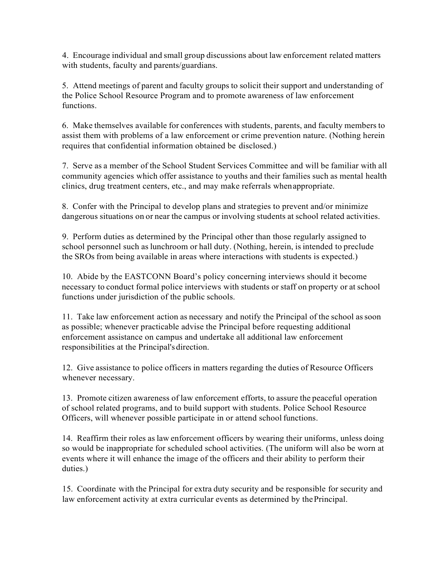4. Encourage individual and small group discussions about law enforcement related matters with students, faculty and parents/guardians.

5. Attend meetings of parent and faculty groups to solicit their support and understanding of the Police School Resource Program and to promote awareness of law enforcement functions.

6. Make themselves available for conferences with students, parents, and faculty members to assist them with problems of a law enforcement or crime prevention nature. (Nothing herein requires that confidential information obtained be disclosed.)

7. Serve as a member of the School Student Services Committee and will be familiar with all community agencies which offer assistance to youths and their families such as mental health clinics, drug treatment centers, etc., and may make referrals whenappropriate.

8. Confer with the Principal to develop plans and strategies to prevent and/or minimize dangerous situations on or near the campus or involving students at school related activities.

9. Perform duties as determined by the Principal other than those regularly assigned to school personnel such as lunchroom or hall duty. (Nothing, herein, is intended to preclude the SROs from being available in areas where interactions with students is expected.)

10. Abide by the EASTCONN Board's policy concerning interviews should it become necessary to conduct formal police interviews with students or staff on property or at school functions under jurisdiction of the public schools.

11. Take law enforcement action as necessary and notify the Principal of the school assoon as possible; whenever practicable advise the Principal before requesting additional enforcement assistance on campus and undertake all additional law enforcement responsibilities at the Principal's direction.

12. Give assistance to police officers in matters regarding the duties of Resource Officers whenever necessary.

13. Promote citizen awareness of law enforcement efforts, to assure the peaceful operation of school related programs, and to build support with students. Police School Resource Officers, will whenever possible participate in or attend school functions.

14. Reaffirm their roles as law enforcement officers by wearing their uniforms, unless doing so would be inappropriate for scheduled school activities. (The uniform will also be worn at events where it will enhance the image of the officers and their ability to perform their duties.)

15. Coordinate with the Principal for extra duty security and be responsible for security and law enforcement activity at extra curricular events as determined by thePrincipal.